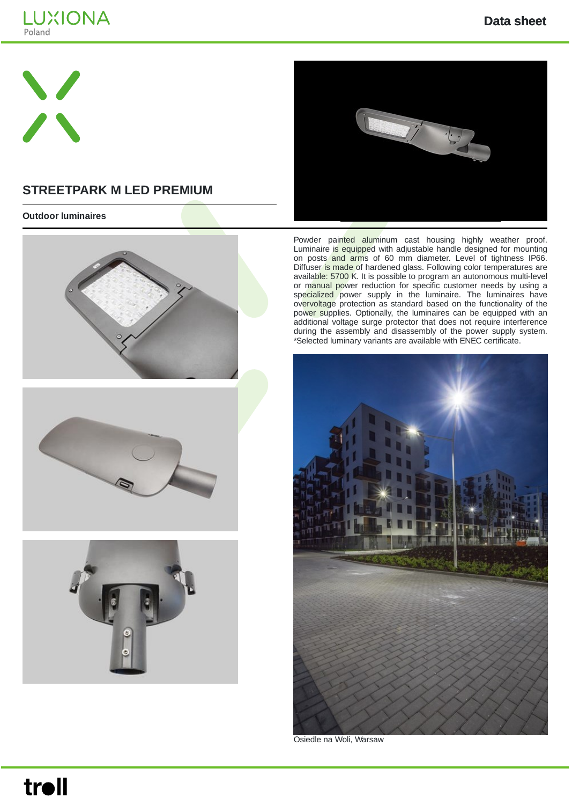



## **STREETPARK M LED PREMIUM**

#### **Outdoor luminaires**









Powder painted aluminum cast housing highly weather proof. Luminaire is equipped with adjustable handle designed for mounting on posts and arms of 60 mm diameter. Level of tightness IP66. Diffuser is made of hardened glass. Following color temperatures are available: 5700 K. It is possible to program an autonomous multi-level or manual power reduction for specific customer needs by using a specialized power supply in the luminaire. The luminaires have overvoltage protection as standard based on the functionality of the power supplies. Optionally, the luminaires can be equipped with an additional voltage surge protector that does not require interference during the assembly and disassembly of the power supply system. \*Selected luminary variants are available with ENEC certificate.



Osiedle na Woli, Warsaw